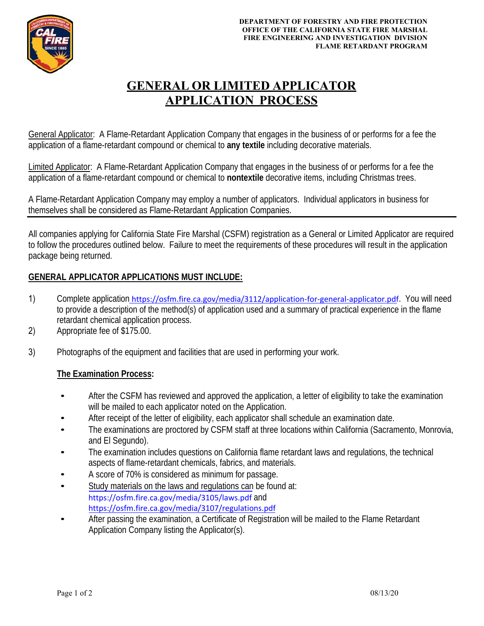

# **GENERAL OR LIMITED APPLICATOR APPLICATION PROCESS**

General Applicator: A Flame-Retardant Application Company that engages in the business of or performs for a fee the application of a flame-retardant compound or chemical to **any textile** including decorative materials.

Limited Applicator: A Flame-Retardant Application Company that engages in the business of or performs for a fee the application of a flame-retardant compound or chemical to **nontextile** decorative items, including Christmas trees.

A Flame-Retardant Application Company may employ a number of applicators. Individual applicators in business for themselves shall be considered as Flame-Retardant Application Companies.

All companies applying for California State Fire Marshal (CSFM) registration as a General or Limited Applicator are required to follow the procedures outlined below. Failure to meet the requirements of these procedures will result in the application package being returned.

## **GENERAL APPLICATOR APPLICATIONS MUST INCLUDE:**

- 1) Complete application https://osfm.fire.ca.gov/media/3112/application-for-general-applicator.pdf. You will need to provide a description of the method(s) of application used and a summary of practical experience in the flame retardant chemical application process.
- 2) Appropriate fee of \$175.00.
- 3) Photographs of the equipment and facilities that are used in performing your work.

#### **The Examination Process:**

- After the CSFM has reviewed and approved the application, a letter of eligibility to take the examination will be mailed to each applicator noted on the Application.
- After receipt of the letter of eligibility, each applicator shall schedule an examination date.
- The examinations are proctored by CSFM staff at three locations within California (Sacramento, Monrovia, and El Segundo).
- The examination includes questions on California flame retardant laws and regulations, the technical aspects of flame-retardant chemicals, fabrics, and materials.
- A score of 70% is considered as minimum for passage.
- Study materials on the laws and regulations can be found at: <https://osfm.fire.ca.gov/media/3105/laws.pdf> and <https://osfm.fire.ca.gov/media/3107/regulations.pdf>
- After passing the examination, a Certificate of Registration will be mailed to the Flame Retardant Application Company listing the Applicator(s).